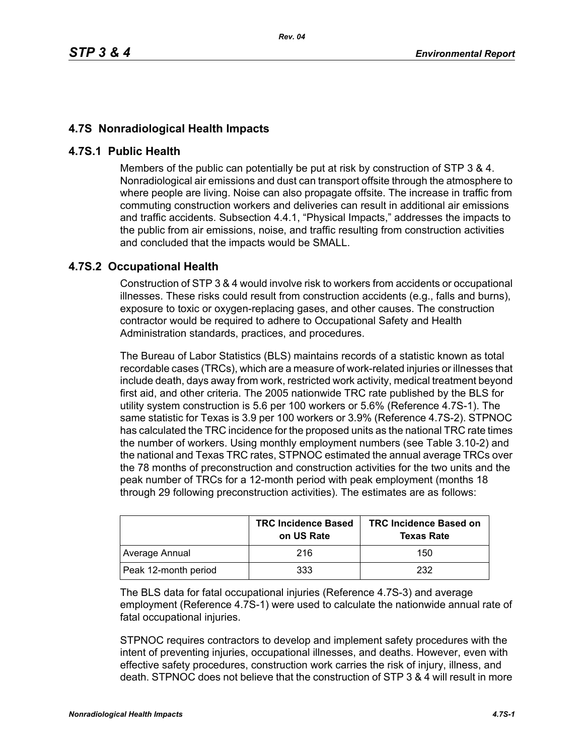## **4.7S Nonradiological Health Impacts**

## **4.7S.1 Public Health**

Members of the public can potentially be put at risk by construction of STP 3 & 4. Nonradiological air emissions and dust can transport offsite through the atmosphere to where people are living. Noise can also propagate offsite. The increase in traffic from commuting construction workers and deliveries can result in additional air emissions and traffic accidents. Subsection 4.4.1, "Physical Impacts," addresses the impacts to the public from air emissions, noise, and traffic resulting from construction activities and concluded that the impacts would be SMALL.

## **4.7S.2 Occupational Health**

Construction of STP 3 & 4 would involve risk to workers from accidents or occupational illnesses. These risks could result from construction accidents (e.g., falls and burns), exposure to toxic or oxygen-replacing gases, and other causes. The construction contractor would be required to adhere to Occupational Safety and Health Administration standards, practices, and procedures.

The Bureau of Labor Statistics (BLS) maintains records of a statistic known as total recordable cases (TRCs), which are a measure of work-related injuries or illnesses that include death, days away from work, restricted work activity, medical treatment beyond first aid, and other criteria. The 2005 nationwide TRC rate published by the BLS for utility system construction is 5.6 per 100 workers or 5.6% (Reference 4.7S-1). The same statistic for Texas is 3.9 per 100 workers or 3.9% (Reference 4.7S-2). STPNOC has calculated the TRC incidence for the proposed units as the national TRC rate times the number of workers. Using monthly employment numbers (see Table 3.10-2) and the national and Texas TRC rates, STPNOC estimated the annual average TRCs over the 78 months of preconstruction and construction activities for the two units and the peak number of TRCs for a 12-month period with peak employment (months 18 through 29 following preconstruction activities). The estimates are as follows:

|                      | <b>TRC Incidence Based</b><br>on US Rate | <b>TRC Incidence Based on</b><br><b>Texas Rate</b> |
|----------------------|------------------------------------------|----------------------------------------------------|
| Average Annual       | 216                                      | 150                                                |
| Peak 12-month period | 333                                      | 232                                                |

The BLS data for fatal occupational injuries (Reference 4.7S-3) and average employment (Reference 4.7S-1) were used to calculate the nationwide annual rate of fatal occupational injuries.

STPNOC requires contractors to develop and implement safety procedures with the intent of preventing injuries, occupational illnesses, and deaths. However, even with effective safety procedures, construction work carries the risk of injury, illness, and death. STPNOC does not believe that the construction of STP 3 & 4 will result in more